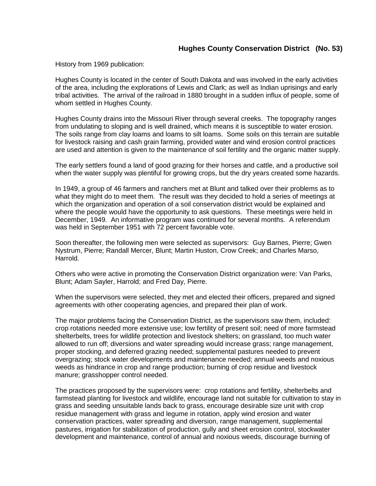History from 1969 publication:

Hughes County is located in the center of South Dakota and was involved in the early activities of the area, including the explorations of Lewis and Clark; as well as Indian uprisings and early tribal activities. The arrival of the railroad in 1880 brought in a sudden influx of people, some of whom settled in Hughes County.

Hughes County drains into the Missouri River through several creeks. The topography ranges from undulating to sloping and is well drained, which means it is susceptible to water erosion. The soils range from clay loams and loams to silt loams. Some soils on this terrain are suitable for livestock raising and cash grain farming, provided water and wind erosion control practices are used and attention is given to the maintenance of soil fertility and the organic matter supply.

The early settlers found a land of good grazing for their horses and cattle, and a productive soil when the water supply was plentiful for growing crops, but the dry years created some hazards.

In 1949, a group of 46 farmers and ranchers met at Blunt and talked over their problems as to what they might do to meet them. The result was they decided to hold a series of meetings at which the organization and operation of a soil conservation district would be explained and where the people would have the opportunity to ask questions. These meetings were held in December, 1949. An informative program was continued for several months. A referendum was held in September 1951 with 72 percent favorable vote.

Soon thereafter, the following men were selected as supervisors: Guy Barnes, Pierre; Gwen Nystrum, Pierre; Randall Mercer, Blunt; Martin Huston, Crow Creek; and Charles Marso, Harrold.

Others who were active in promoting the Conservation District organization were: Van Parks, Blunt; Adam Sayler, Harrold; and Fred Day, Pierre.

When the supervisors were selected, they met and elected their officers, prepared and signed agreements with other cooperating agencies, and prepared their plan of work.

The major problems facing the Conservation District, as the supervisors saw them, included: crop rotations needed more extensive use; low fertility of present soil; need of more farmstead shelterbelts, trees for wildlife protection and livestock shelters; on grassland, too much water allowed to run off; diversions and water spreading would increase grass; range management, proper stocking, and deferred grazing needed; supplemental pastures needed to prevent overgrazing; stock water developments and maintenance needed; annual weeds and noxious weeds as hindrance in crop and range production; burning of crop residue and livestock manure; grasshopper control needed.

The practices proposed by the supervisors were: crop rotations and fertility, shelterbelts and farmstead planting for livestock and wildlife, encourage land not suitable for cultivation to stay in grass and seeding unsuitable lands back to grass, encourage desirable size unit with crop residue management with grass and legume in rotation, apply wind erosion and water conservation practices, water spreading and diversion, range management, supplemental pastures, irrigation for stabilization of production, gully and sheet erosion control, stockwater development and maintenance, control of annual and noxious weeds, discourage burning of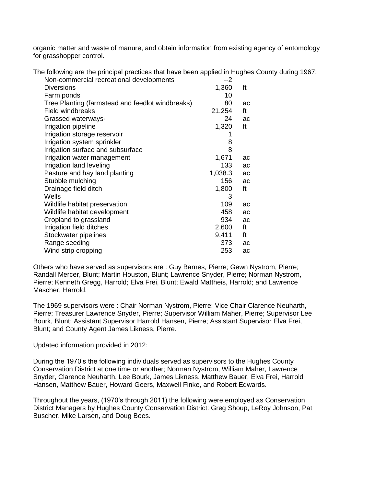organic matter and waste of manure, and obtain information from existing agency of entomology for grasshopper control.

The following are the principal practices that have been applied in Hughes County during 1967:

| Non-commercial recreational developments         | --2     |    |
|--------------------------------------------------|---------|----|
| <b>Diversions</b>                                | 1,360   | ft |
| Farm ponds                                       | 10      |    |
| Tree Planting (farmstead and feedlot windbreaks) | 80      | ac |
| Field windbreaks                                 | 21,254  | ft |
| Grassed waterways-                               | 24      | ac |
| Irrigation pipeline                              | 1,320   | ft |
| Irrigation storage reservoir                     |         |    |
| Irrigation system sprinkler                      | 8       |    |
| Irrigation surface and subsurface                | 8       |    |
| Irrigation water management                      | 1,671   | ac |
| Irrigation land leveling                         | 133     | ac |
| Pasture and hay land planting                    | 1,038.3 | ac |
| Stubble mulching                                 | 156     | ac |
| Drainage field ditch                             | 1,800   | ft |
| Wells                                            | 3       |    |
| Wildlife habitat preservation                    | 109     | ac |
| Wildlife habitat development                     | 458     | ac |
| Cropland to grassland                            | 934     | ac |
| Irrigation field ditches                         | 2,600   | ft |
| Stockwater pipelines                             | 9,411   | ft |
| Range seeding                                    | 373     | ac |
| Wind strip cropping                              | 253     | ac |

Others who have served as supervisors are : Guy Barnes, Pierre; Gewn Nystrom, Pierre; Randall Mercer, Blunt; Martin Houston, Blunt; Lawrence Snyder, Pierre; Norman Nystrom, Pierre; Kenneth Gregg, Harrold; Elva Frei, Blunt; Ewald Mattheis, Harrold; and Lawrence Mascher, Harrold.

The 1969 supervisors were : Chair Norman Nystrom, Pierre; Vice Chair Clarence Neuharth, Pierre; Treasurer Lawrence Snyder, Pierre; Supervisor William Maher, Pierre; Supervisor Lee Bourk, Blunt; Assistant Supervisor Harrold Hansen, Pierre; Assistant Supervisor Elva Frei, Blunt; and County Agent James Likness, Pierre.

Updated information provided in 2012:

During the 1970's the following individuals served as supervisors to the Hughes County Conservation District at one time or another; Norman Nystrom, William Maher, Lawrence Snyder, Clarence Neuharth, Lee Bourk, James Likness, Matthew Bauer, Elva Frei, Harrold Hansen, Matthew Bauer, Howard Geers, Maxwell Finke, and Robert Edwards.

Throughout the years, (1970's through 2011) the following were employed as Conservation District Managers by Hughes County Conservation District: Greg Shoup, LeRoy Johnson, Pat Buscher, Mike Larsen, and Doug Boes.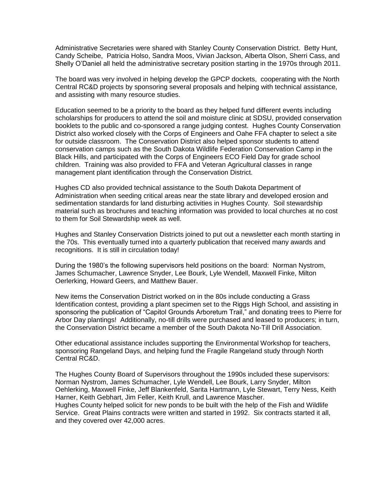Administrative Secretaries were shared with Stanley County Conservation District. Betty Hunt, Candy Scheibe, Patricia Holso, Sandra Moos, Vivian Jackson, Alberta Olson, Sherri Cass, and Shelly O'Daniel all held the administrative secretary position starting in the 1970s through 2011.

The board was very involved in helping develop the GPCP dockets, cooperating with the North Central RC&D projects by sponsoring several proposals and helping with technical assistance, and assisting with many resource studies.

Education seemed to be a priority to the board as they helped fund different events including scholarships for producers to attend the soil and moisture clinic at SDSU, provided conservation booklets to the public and co-sponsored a range judging contest. Hughes County Conservation District also worked closely with the Corps of Engineers and Oahe FFA chapter to select a site for outside classroom. The Conservation District also helped sponsor students to attend conservation camps such as the South Dakota Wildlife Federation Conservation Camp in the Black Hills, and participated with the Corps of Engineers ECO Field Day for grade school children. Training was also provided to FFA and Veteran Agricultural classes in range management plant identification through the Conservation District.

Hughes CD also provided technical assistance to the South Dakota Department of Administration when seeding critical areas near the state library and developed erosion and sedimentation standards for land disturbing activities in Hughes County. Soil stewardship material such as brochures and teaching information was provided to local churches at no cost to them for Soil Stewardship week as well.

Hughes and Stanley Conservation Districts joined to put out a newsletter each month starting in the 70s. This eventually turned into a quarterly publication that received many awards and recognitions. It is still in circulation today!

During the 1980's the following supervisors held positions on the board: Norman Nystrom, James Schumacher, Lawrence Snyder, Lee Bourk, Lyle Wendell, Maxwell Finke, Milton Oerlerking, Howard Geers, and Matthew Bauer.

New items the Conservation District worked on in the 80s include conducting a Grass Identification contest, providing a plant specimen set to the Riggs High School, and assisting in sponsoring the publication of "Capitol Grounds Arboretum Trail," and donating trees to Pierre for Arbor Day plantings! Additionally, no-till drills were purchased and leased to producers; in turn, the Conservation District became a member of the South Dakota No-Till Drill Association.

Other educational assistance includes supporting the Environmental Workshop for teachers, sponsoring Rangeland Days, and helping fund the Fragile Rangeland study through North Central RC&D.

The Hughes County Board of Supervisors throughout the 1990s included these supervisors: Norman Nystrom, James Schumacher, Lyle Wendell, Lee Bourk, Larry Snyder, Milton Oehlerking, Maxwell Finke, Jeff Blankenfeld, Sarita Hartmann, Lyle Stewart, Terry Ness, Keith Harner, Keith Gebhart, Jim Feller, Keith Krull, and Lawrence Mascher. Hughes County helped solicit for new ponds to be built with the help of the Fish and Wildlife Service. Great Plains contracts were written and started in 1992. Six contracts started it all, and they covered over 42,000 acres.